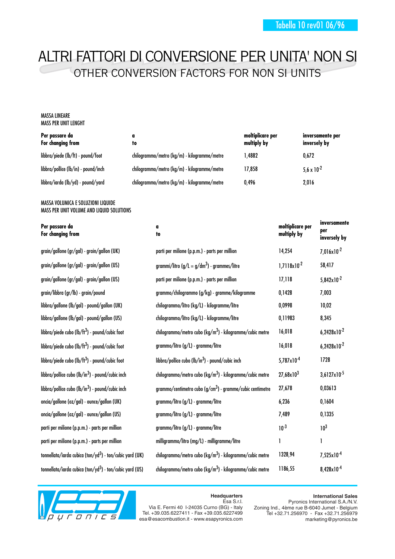# ALTRI FATTORI DI CONVERSIONE PER UNITA' NON SI OTHER CONVERSION FACTORS FOR NON SI UNITS

#### MASSA LINEARE MASS PER UNIT LENGHT

| Per passare da<br>For changing from | to                                          | moltiplicare per<br>multiply by | inversamente per<br>inversely by |
|-------------------------------------|---------------------------------------------|---------------------------------|----------------------------------|
| libbra/piede (lb/ft) - pound/foot   | chilogrammo/metro (kg/m) - kilogramme/metre | .4882                           | 0.672                            |
| libbra/pollice (lb/in) - pound/inch | chilogrammo/metro (kg/m) - kilogramme/metre | 17.858                          | 5.6 x $10^{-2}$                  |
| libbra/iarda (lb/yd) - pound/yard   | chilogrammo/metro (kg/m) - kilogramme/metre | 0.496                           | 2,016                            |

#### MASSA VOLUMICA E SOLUZIONI LIQUIDE MASS PER UNIT VOLUME AND LIQUID SOLUTIONS

#### **Per passare da For changing from**

| grain/gallone (gr/gal) - grain/gallon (UK)                           | parti per milione (p.p.m.) -              |
|----------------------------------------------------------------------|-------------------------------------------|
| grain/gallone (gr/gal) - grain/gallon (US)                           | grammi/litro (g/L = g/dm <sup>3</sup>     |
| grain/gallone (gr/gal) - grain/gallon (US)                           | parti per milione (p.p.m.) -              |
| grain/libbra (gr/lb) - grain/pound                                   | grammo/chilogrammo (g/k                   |
| libbra/gallone (lb/gal) - pound/gallon (UK)                          | chilogrammo/litro (kg/L) -                |
| libbra/gallone (lb/gal) - pound/gallon (US)                          | chilogrammo/litro (kg/L) -                |
| libbra/piede cubo (lb/ft <sup>3</sup> ) - pound/cubic foot           | chilogrammo/metro cubo (k                 |
| libbra/piede cubo (lb/ft <sup>3</sup> ) - pound/cubic foot           | grammo/litro (g/L) - gramr                |
| libbra/piede cubo (lb/ft <sup>3</sup> ) - pound/cubic foot           | libbra/pollice cubo (lb/in <sup>3</sup> ) |
| libbra/pollice cubo (lb/in <sup>3</sup> ) - pound/cubic inch         | chilogrammo/metro cubo (k                 |
| libbra/pollice cubo (lb/in <sup>3</sup> ) - pound/cubic inch         | grammo/centimetro cubo (g                 |
| oncia/gallone (oz/gal) - ounce/gallon (UK)                           | grammo/litro (g/L) - gramr                |
| oncia/gallone (oz/gal) - ounce/gallon (US)                           | grammo/litro (g/L) - gramı                |
| parti per milione (p.p.m.) - parts per million                       | grammo/litro (g/L) - gramr                |
| parti per milione (p.p.m.) - parts per million                       | milligrammo/litro (mg/L) -                |
| tonnellata/iarda cubica (ton/yd <sup>3</sup> ) - ton/cubic yard (UK) | chilogrammo/metro cubo (k                 |
| tonnellata/iarda cubica (ton/yd <sup>3</sup> ) - ton/cubic yard (US) | chilogrammo/metro cubo (k                 |



Esa S.r.l. Via E. Fermi 40 I-24035 Curno (BG) - Italy Tel. +39.035.6227411 - Fax +39.035.6227499 esa@esacombustion.it - www.esapyronics.com

**International Sales** Pyronics International S.A./N.V. Zoning Ind., 4ème rue B-6040 Jumet - Belgium Tel +32.71.256970 - Fax +32.71.256979 marketing@pyronics.be

## **Headquarters**

| Per passare da<br>For changing from                                  | a<br>to                                                              | moltiplicare per<br>multiply by | inversamente<br>per<br>inversely by |
|----------------------------------------------------------------------|----------------------------------------------------------------------|---------------------------------|-------------------------------------|
| grain/gallone (gr/gal) - grain/gallon (UK)                           | parti per milione (p.p.m.) - parts per million                       | 14,254                          | $7,016 \times 10^{-2}$              |
| grain/gallone (gr/gal) - grain/gallon (US)                           | grammi/litro (g/L = g/dm <sup>3</sup> ) - grammes/litre              | $1,7118 \times 10^{-2}$         | 58,417                              |
| grain/gallone (gr/gal) - grain/gallon (US)                           | parti per milione (p.p.m.) - parts per million                       | 17,118                          | $5,842 \times 10^{-2}$              |
| grain/libbra (gr/lb) - grain/pound                                   | grammo/chilogrammo (g/kg) - gramme/kilogramme                        | 0,1428                          | 7,003                               |
| libbra/gallone (lb/gal) - pound/gallon (UK)                          | chilogrammo/litro (kg/L) - kilogramme/litre                          | 0,0998                          | 10,02                               |
| libbra/gallone (lb/gal) - pound/gallon (US)                          | chilogrammo/litro (kg/L) - kilogramme/litre                          | 0,11983                         | 8,345                               |
| libbra/piede cubo (lb/ft <sup>3</sup> ) - pound/cubic foot           | chilogrammo/metro cubo (kg/m <sup>3</sup> ) - kilogramme/cubic metre | 16,018                          | $6,2428\times10^{-2}$               |
| libbra/piede cubo (lb/ft <sup>3</sup> ) - pound/cubic foot           | grammo/litro (g/L) - gramme/litre                                    | 16,018                          | $6,2428\times10^{-2}$               |
| libbra/piede cubo (lb/ft <sup>3</sup> ) - pound/cubic foot           | libbra/pollice cubo (lb/in <sup>3</sup> ) - pound/cubic inch         | $5,787 \times 10^{-4}$          | 1728                                |
| libbra/pollice cubo (lb/in <sup>3</sup> ) - pound/cubic inch         | chilogrammo/metro cubo (kg/m <sup>3</sup> ) - kilogramme/cubic metre | $27,68 \times 10^3$             | $3,6127 \times 10^{-5}$             |
| libbra/pollice cubo (lb/in <sup>3</sup> ) - pound/cubic inch         | grammo/centimetro cubo $(g/cm3)$ - gramme/cubic centimetre           | 27,678                          | 0,03613                             |
| oncia/gallone (oz/gal) - ounce/gallon (UK)                           | grammo/litro (g/L) - gramme/litre                                    | 6,236                           | 0,1604                              |
| oncia/gallone (oz/gal) - ounce/gallon (US)                           | grammo/litro (g/L) - gramme/litre                                    | 7,489                           | 0,1335                              |
| parti per milione (p.p.m.) - parts per million                       | grammo/litro (g/L) - gramme/litre                                    | $10^{-3}$                       | 10 <sup>3</sup>                     |
| parti per milione (p.p.m.) - parts per million                       | milligrammo/litro (mg/L) - milligramme/litre                         | 1                               | 1                                   |
| tonnellata/iarda cubica (ton/yd <sup>3</sup> ) - ton/cubic yard (UK) | chilogrammo/metro cubo (kg/m <sup>3</sup> ) - kilogramme/cubic metre | 1328,94                         | $7,525 \times 10^{-4}$              |
| tonnellata/iarda cubica (ton/yd <sup>3</sup> ) - ton/cubic yard (US) | chilogrammo/metro cubo (kg/m <sup>3</sup> ) - kilogramme/cubic metre | 1186,55                         | $8,428\times10^{-4}$                |
|                                                                      |                                                                      |                                 |                                     |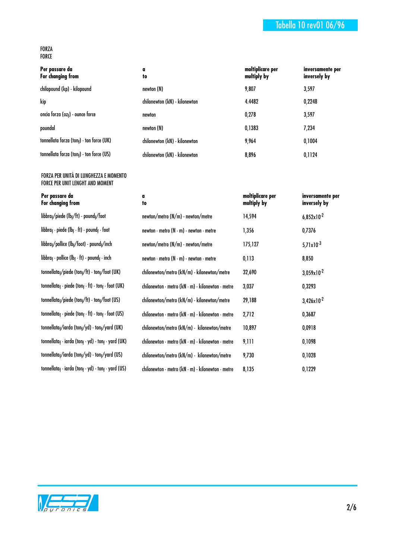## Tabella 10 rev01 06/96

#### FORZA FORCE

| Per passare da<br>For changing from      | a<br>to                       | moltiplicare per<br>multiply by | inversamente per<br>inversely by |
|------------------------------------------|-------------------------------|---------------------------------|----------------------------------|
| chilopound (kp) - kilopound              | newton (N)                    | 9,807                           | 3,597                            |
| kip                                      | chilonewton (kN) - kilonewton | 4.4482                          | 0,2248                           |
| oncia forza (oz $_f$ ) - ounce force     | newton                        | 0,278                           | 3,597                            |
| poundal                                  | newton (N)                    | 0,1383                          | 7,234                            |
| tonnellata forza (tonf) - ton force (UK) | chilonewton (kN) - kilonewton | 9.964                           | 0,1004                           |
| tonnellata forza (tonf) - ton force (US) | chilonewton (kN) - kilonewton | 8,896                           | 0,1124                           |

### FORZA PER UNITÀ DI LUNGHEZZA E MOMENTO FORCE PER UNIT LENGHT AND MOMENT

| Per passare da    |
|-------------------|
| For changing from |

| libbra <sub>f</sub> /piede (lb <sub>f</sub> /ft) - pound <sub>f</sub> /foot            |
|----------------------------------------------------------------------------------------|
| libbra <sub>f</sub> · piede (lb <sub>f</sub> · ft) - pound <sub>f</sub> · foot         |
| libbra <sub>f</sub> /pollice (lb <sub>f</sub> /foot) - pound <sub>f</sub> /inch        |
| libbra <sub>f</sub> · pollice (lb <sub>f</sub> · ft) - pound <sub>f</sub> · inch       |
| $tonnellata_f/piede (ton_f/ft) - ton_f/foot (UK)$                                      |
| tonnellata <sub>f</sub> · piede (ton <sub>f</sub> · ft) - ton <sub>f</sub> · foot (UK) |
| tonnellata <sub>f</sub> /piede (ton <sub>f</sub> /ft) - ton <sub>f</sub> /foot (US)    |
| tonnellata <sub>f</sub> · piede (ton <sub>f</sub> · ft) - ton <sub>f</sub> · foot (US) |
| tonnellata <sub>f</sub> /iarda (ton <sub>f</sub> /yd) - ton <sub>f</sub> /yard (UK)    |
| tonnellata <sub>f</sub> · iarda (ton <sub>f</sub> · yd) - ton <sub>f</sub> · yard (UK  |
| tonnellata <sub>f</sub> /iarda (ton <sub>f</sub> /yd) - ton <sub>f</sub> /yard (US)    |
| tonnellata <sub>f</sub> · iarda (ton <sub>f</sub> · yd) - ton <sub>f</sub> · yard (US  |
|                                                                                        |

| TO                            | <b>MAILIBIA</b> DY | inversely by |
|-------------------------------|--------------------|--------------|
| newton (N)                    | 9,807              | 3,597        |
| chilonewton (kN) - kilonewton | 4.4482             | 0,2248       |
| newton                        | 0,278              | 3,597        |
| newton (N)                    | 0,1383             | 7,234        |
| chilonewton (kN) - kilonewton | 9,964              | 0,1004       |
| chilonewton (kN) - kilonewton | 8,896              | 0,1124       |
|                               |                    |              |
|                               |                    |              |
|                               |                    |              |

|                                    | a<br>to                                                                   | moltiplicare per<br>multiply by | inversamente per<br>inversely by |
|------------------------------------|---------------------------------------------------------------------------|---------------------------------|----------------------------------|
| /foot                              | $newton/metro(N/m)$ - newton/metre                                        | 14,594                          | $6,852\times10^{-2}$             |
| t <sub>f</sub> · foot              | newton $\cdot$ metro (N $\cdot$ m) - newton $\cdot$ metre                 | 1,356                           | 0,7376                           |
| nd <sub>t</sub> /inch              | $newton/metro(N/m)$ - newton/metre                                        | 175,127                         | $5,71\times10^{-3}$              |
| ıd <sub>f</sub> • inch             | newton $\cdot$ metro (N $\cdot$ m) - newton $\cdot$ metre                 | 0,113                           | 8,850                            |
| on <sub>f</sub> /foot (UK)         | chilonewton/metro (kN/m) - kilonewton/metre                               | 32,690                          | $3,059x10^{-2}$                  |
| ton <sub>f</sub> · foot (UK)       | chilonewton · metro (kN · m) - kilonewton · metre                         | 3,037                           | 0,3293                           |
| on <sub>f</sub> /foot (US)         | chilonewton/metro (kN/m) - kilonewton/metre                               | 29,188                          | $3,426 \times 10^{-2}$           |
| ton <sub>f</sub> · foot (US)       | chilonewton · metro (kN · m) - kilonewton · metre                         | 2,712                           | 0,3687                           |
| on <sub>f</sub> /yard (UK)         | chilonewton/metro (kN/m) - kilonewton/metre                               | 10,897                          | 0,0918                           |
| ton <sub>f</sub> $\cdot$ yard (UK) | chilonewton $\cdot$ metro (kN $\cdot$ m) $\cdot$ kilonewton $\cdot$ metre | 9,111                           | 0,1098                           |
| on <sub>f</sub> /yard (US)         | chilonewton/metro (kN/m) - kilonewton/metre                               | 9,730                           | 0,1028                           |
| ton <sub>f</sub> $\cdot$ yard (US) | chilonewton · metro (kN · m) - kilonewton · metre                         | 8,135                           | 0,1229                           |

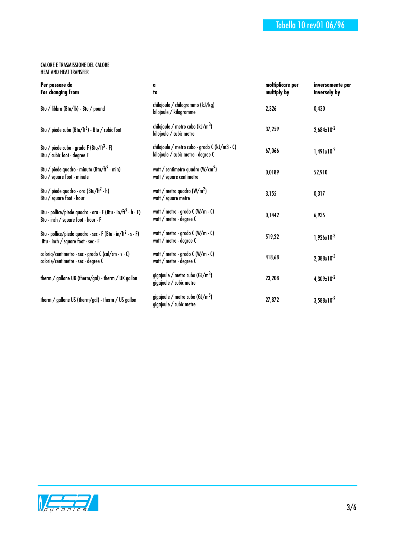#### CALORE E TRASMISSIONE DEL CALORE HEAT AND HEAT TRANSFER

| Per passare da<br>For changing from                                                                                             | a<br>to                                                                             | moltiplicare per<br>multiply by | inversamente per<br>inversely by |
|---------------------------------------------------------------------------------------------------------------------------------|-------------------------------------------------------------------------------------|---------------------------------|----------------------------------|
| Btu / libbra (Btu/lb) - Btu / pound                                                                                             | chilojoule / chilogrammo (kJ/kg)<br>kilojoule / kilogramme                          | 2,326                           | 0,430                            |
| Btu / piede cubo (Btu/ft <sup>3</sup> ) - Btu / cubic foot                                                                      | chilojoule / metro cubo ( $kJ/m3$ )<br>kilojoule / cubic metre                      | 37,259                          | $2,684 \times 10^{-2}$           |
| Btu / piede cubo · grado F (Btu/ft <sup>3</sup> · F)<br>Btu / cubic foot · degree F                                             | chilojoule / metro cubo · grado C (kJ/m3 · C)<br>kilojoule / cubic metre · degree C | 67,066                          | $1,491x10^{-2}$                  |
| Btu / piede quadro · minuto (Btu/ft <sup>2</sup> · min)<br>Btu / square foot $\cdot$ minute                                     | watt / centimetro quadro (W/cm <sup>2</sup> )<br>watt / square centimetre           | 0,0189                          | 52,910                           |
| Btu / piede quadro $\cdot$ ora (Btu/ft <sup>2</sup> $\cdot$ h)<br>Btu / square foot $\cdot$ hour                                | watt / metro quadro (W/m <sup>2</sup> )<br>watt / square metre                      | 3,155                           | 0,317                            |
| Btu · pollice/piede quadro · ora · F (Btu · in/ft <sup>2</sup> · h · F)<br>Btu · inch / square foot · hour · F                  | watt / metro · grado C (W/m · C)<br>watt / metre · degree C                         | 0,1442                          | 6,935                            |
| Btu · pollice/piede quadro · sec · F (Btu · in/ft <sup>2</sup> · s · F)<br>Btu $\cdot$ inch / square foot $\cdot$ sec $\cdot$ F | watt / metro · grado C (W/m · C)<br>watt / metre $\cdot$ degree C                   | 519,22                          | $1,926 \times 10^{-3}$           |
| caloria/centimetro · sec · grado C (cal/cm · s · C)<br>calorie/centimetre · sec · degree C                                      | watt / metro $\cdot$ grado C (W/m $\cdot$ C)<br>watt / metre · degree C             | 418,68                          | $2,388 \times 10^{-3}$           |
| therm / gallone UK (therm/gal) - therm / UK gallon                                                                              | gigajoule / metro cubo ( $\text{GJ/m}^3$ )<br>gigajoule / cubic metre               | 23,208                          | $4,309\times10^{-2}$             |
| therm / gallone US (therm/gal) - therm / US gallon                                                                              | gigajoule / metro cubo ( $GI/m3$ )<br>gigajoule / cubic metre                       | 27,872                          | $3,588 \times 10^{-2}$           |

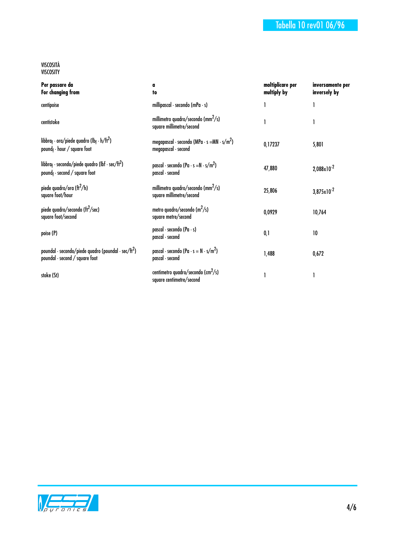#### VISCOSITÀ VISCOSITY

| Per passare da<br>For changing from                                                                                            | a<br>to                                                                        | moltiplicare per<br>multiply by | inversamente per<br>inversely by |
|--------------------------------------------------------------------------------------------------------------------------------|--------------------------------------------------------------------------------|---------------------------------|----------------------------------|
| centipoise                                                                                                                     | millipascal $\cdot$ secondo (mPa $\cdot$ s)                                    | 1                               |                                  |
| centistoke                                                                                                                     | millimetro quadro/secondo (mm <sup>2</sup> /s)<br>square millimetre/second     | 1                               |                                  |
| libbra <sub>f</sub> · ora/piede quadro (lb <sub>f</sub> · h/ft <sup>2</sup> )<br>pound <sub>f</sub> $\cdot$ hour / square foot | megapascal · secondo (MPa · s = MN · s/m <sup>2</sup> )<br>megapascal · second | 0,17237                         | 5,801                            |
| libbra <sub>f</sub> · secondo/piede quadro (lbf · sec/ft <sup>2</sup> )<br>pound <sub>f</sub> $\cdot$ second / square foot     | pascal · secondo (Pa · s = N · s/m <sup>2</sup> )<br>pascal · second           | 47,880                          | $2,088\times10^{-2}$             |
| piede quadro/ora (ft <sup>2</sup> /h)<br>square foot/hour                                                                      | millimetro quadro/secondo (mm <sup>2</sup> /s)<br>square millimetre/second     | 25,806                          | $3,875 \times 10^{-2}$           |
| piede quadro/secondo (ft <sup>2</sup> /sec)<br>square foot/second                                                              | metro quadro/secondo $(m^2/s)$<br>square metre/second                          | 0,0929                          | 10,764                           |
| poise (P)                                                                                                                      | pascal · secondo (Pa · s)<br>pascal - second                                   | 0,1                             | 10                               |
| poundal · secondo/piede quadro (poundal · sec/ft <sup>2</sup> )<br>poundal · second / square foot                              | pascal · secondo (Pa · s = $N \cdot s/m^2$ )<br>pascal · second                | 1,488                           | 0,672                            |
| stoke (St)                                                                                                                     | centimetro quadro/secondo (cm <sup>2</sup> /s)<br>square centimetre/second     |                                 |                                  |

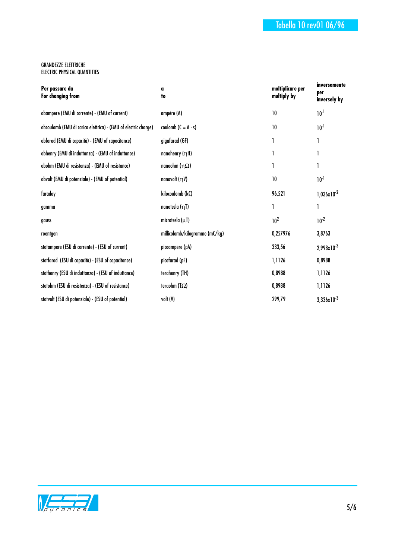#### GRANDEZZE ELETTRICHE ELECTRIC PHYSICAL QUANTITIES

| a<br>to                        | moltiplicare per<br>multiply by | inversamente<br>per<br>inversely by |
|--------------------------------|---------------------------------|-------------------------------------|
| ampére (A)                     | 10                              | $10^{-1}$                           |
| coulomb $(C = A \cdot s)$      | 10                              | $10^{-1}$                           |
| gigafarad (GF)                 | 1                               | 1                                   |
| nanohenry (nH)                 |                                 | 1                                   |
| nanoohm ( $\eta\Omega$ )       |                                 | 1                                   |
| nanovolt $(\eta V)$            | 10                              | $10^{-1}$                           |
| kilocoulomb (kC)               | 96,521                          | $1,036 \times 10^{-2}$              |
| nanotesla (ŋT)                 | 1                               | 1                                   |
| microtesla $(\mu T)$           | 10 <sup>2</sup>                 | $10^{-2}$                           |
| millicolomb/kilogramme (mC/kg) | 0,257976                        | 3,8763                              |
| picoampere (pA)                | 333,56                          | $2,998x10^{-3}$                     |
| picofarad (pF)                 | 1,1126                          | 0,8988                              |
| terahenry (TH)                 | 0,8988                          | 1,1126                              |
| teraohm (T $\Omega$ )          | 0,8988                          | 1,1126                              |
| volt (V)                       | 299,79                          | $3,336 \times 10^{-3}$              |
|                                |                                 |                                     |